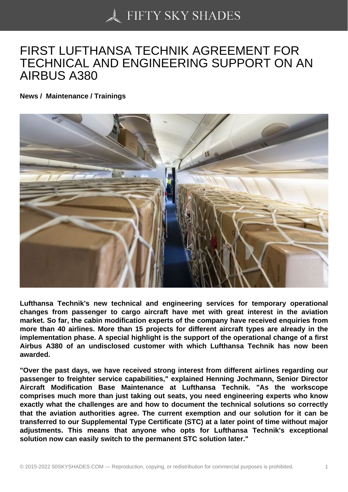## [FIRST LUFTHANSA T](https://50skyshades.com)ECHNIK AGREEMENT FOR TECHNICAL AND ENGINEERING SUPPORT ON AN AIRBUS A380

News / Maintenance / Trainings

Lufthansa Technik's new technical and engineering services for temporary operational changes from passenger to cargo aircraft have met with great interest in the aviation market. So far, the cabin modification experts of the company have received enquiries from more than 40 airlines. More than 15 projects for different aircraft types are already in the implementation phase. A special highlight is the support of the operational change of a first Airbus A380 of an undisclosed customer with which Lufthansa Technik has now been awarded.

"Over the past days, we have received strong interest from different airlines regarding our passenger to freighter service capabilities," explained Henning Jochmann, Senior Director Aircraft Modification Base Maintenance at Lufthansa Technik. "As the workscope comprises much more than just taking out seats, you need engineering experts who know exactly what the challenges are and how to document the technical solutions so correctly that the aviation authorities agree. The current exemption and our solution for it can be transferred to our Supplemental Type Certificate (STC) at a later point of time without major adjustments. This means that anyone who opts for Lufthansa Technik's exceptional solution now can easily switch to the permanent STC solution later."